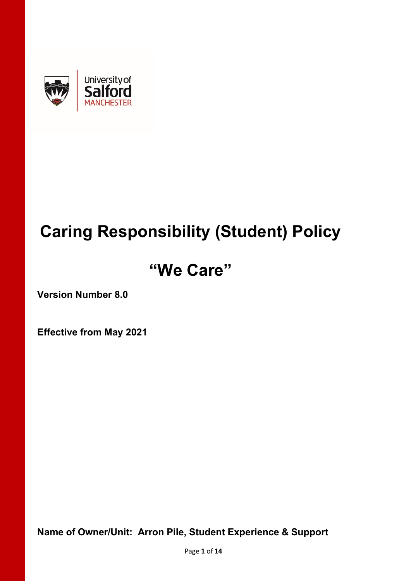

# **Caring Responsibility (Student) Policy**

# **"We Care"**

**Version Number 8.0**

**Effective from May 2021**

**Name of Owner/Unit: Arron Pile, Student Experience & Support**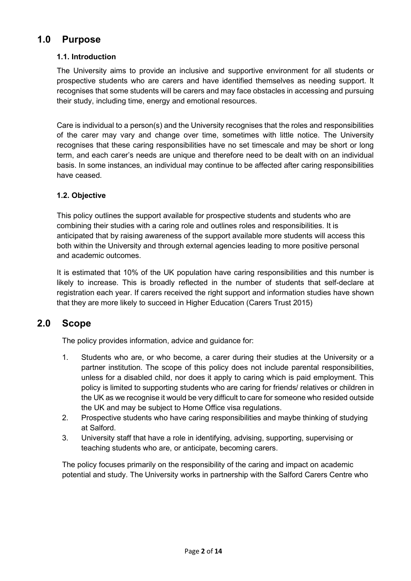# **1.0 Purpose**

# **1.1. Introduction**

The University aims to provide an inclusive and supportive environment for all students or prospective students who are carers and have identified themselves as needing support. It recognises that some students will be carers and may face obstacles in accessing and pursuing their study, including time, energy and emotional resources.

Care is individual to a person(s) and the University recognises that the roles and responsibilities of the carer may vary and change over time, sometimes with little notice. The University recognises that these caring responsibilities have no set timescale and may be short or long term, and each carer's needs are unique and therefore need to be dealt with on an individual basis. In some instances, an individual may continue to be affected after caring responsibilities have ceased.

# **1.2. Objective**

This policy outlines the support available for prospective students and students who are combining their studies with a caring role and outlines roles and responsibilities. It is anticipated that by raising awareness of the support available more students will access this both within the University and through external agencies leading to more positive personal and academic outcomes.

It is estimated that 10% of the UK population have caring responsibilities and this number is likely to increase. This is broadly reflected in the number of students that self-declare at registration each year. If carers received the right support and information studies have shown that they are more likely to succeed in Higher Education (Carers Trust 2015)

# **2.0 Scope**

The policy provides information, advice and guidance for:

- 1. Students who are, or who become, a carer during their studies at the University or a partner institution. The scope of this policy does not include parental responsibilities, unless for a disabled child, nor does it apply to caring which is paid employment. This policy is limited to supporting students who are caring for friends/ relatives or children in the UK as we recognise it would be very difficult to care for someone who resided outside the UK and may be subject to Home Office visa regulations.
- 2. Prospective students who have caring responsibilities and maybe thinking of studying at Salford.
- 3. University staff that have a role in identifying, advising, supporting, supervising or teaching students who are, or anticipate, becoming carers.

The policy focuses primarily on the responsibility of the caring and impact on academic potential and study. The University works in partnership with the Salford Carers Centre who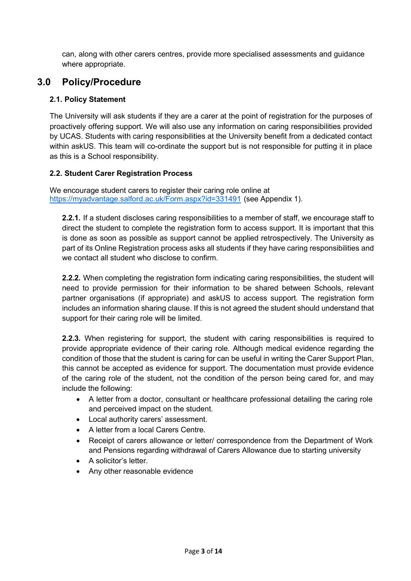can, along with other carers centres, provide more specialised assessments and guidance where appropriate.

# **3.0 Policy/Procedure**

# **2.1. Policy Statement**

The University will ask students if they are a carer at the point of registration for the purposes of proactively offering support. We will also use any information on caring responsibilities provided by UCAS. Students with caring responsibilities at the University benefit from a dedicated contact within askUS. This team will co-ordinate the support but is not responsible for putting it in place as this is a School responsibility.

# **2.2. Student Carer Registration Process**

We encourage student carers to register their caring role online at <https://myadvantage.salford.ac.uk/Form.aspx?id=331491> (see Appendix 1).

**2.2.1.** If a student discloses caring responsibilities to a member of staff, we encourage staff to direct the student to complete the registration form to access support. It is important that this is done as soon as possible as support cannot be applied retrospectively. The University as part of its Online Registration process asks all students if they have caring responsibilities and we contact all student who disclose to confirm.

**2.2.2.** When completing the registration form indicating caring responsibilities, the student will need to provide permission for their information to be shared between Schools, relevant partner organisations (if appropriate) and askUS to access support. The registration form includes an information sharing clause. If this is not agreed the student should understand that support for their caring role will be limited.

**2.2.3.** When registering for support, the student with caring responsibilities is required to provide appropriate evidence of their caring role. Although medical evidence regarding the condition of those that the student is caring for can be useful in writing the Carer Support Plan, this cannot be accepted as evidence for support. The documentation must provide evidence of the caring role of the student, not the condition of the person being cared for, and may include the following:

- A letter from a doctor, consultant or healthcare professional detailing the caring role and perceived impact on the student.
- Local authority carers' assessment.
- A letter from a local Carers Centre.
- Receipt of carers allowance or letter/ correspondence from the Department of Work and Pensions regarding withdrawal of Carers Allowance due to starting university
- A solicitor's letter.
- Any other reasonable evidence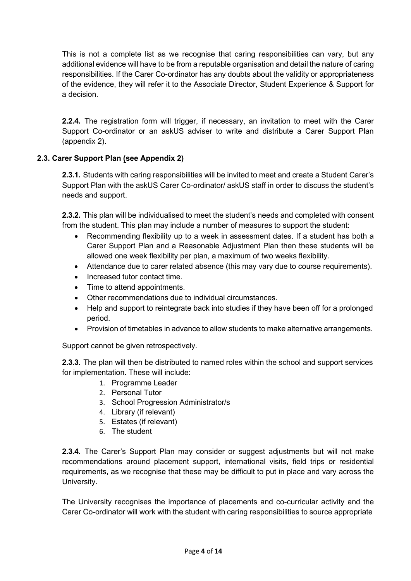This is not a complete list as we recognise that caring responsibilities can vary, but any additional evidence will have to be from a reputable organisation and detail the nature of caring responsibilities. If the Carer Co-ordinator has any doubts about the validity or appropriateness of the evidence, they will refer it to the Associate Director, Student Experience & Support for a decision.

**2.2.4.** The registration form will trigger, if necessary, an invitation to meet with the Carer Support Co-ordinator or an askUS adviser to write and distribute a Carer Support Plan (appendix 2).

# **2.3. Carer Support Plan (see Appendix 2)**

**2.3.1.** Students with caring responsibilities will be invited to meet and create a Student Carer's Support Plan with the askUS Carer Co-ordinator/ askUS staff in order to discuss the student's needs and support.

**2.3.2.** This plan will be individualised to meet the student's needs and completed with consent from the student. This plan may include a number of measures to support the student:

- Recommending flexibility up to a week in assessment dates. If a student has both a Carer Support Plan and a Reasonable Adjustment Plan then these students will be allowed one week flexibility per plan, a maximum of two weeks flexibility.
- Attendance due to carer related absence (this may vary due to course requirements).
- Increased tutor contact time.
- Time to attend appointments.
- Other recommendations due to individual circumstances.
- Help and support to reintegrate back into studies if they have been off for a prolonged period.
- Provision of timetables in advance to allow students to make alternative arrangements.

Support cannot be given retrospectively.

**2.3.3.** The plan will then be distributed to named roles within the school and support services for implementation. These will include:

- 1. Programme Leader
- 2. Personal Tutor
- 3. School Progression Administrator/s
- 4. Library (if relevant)
- 5. Estates (if relevant)
- 6. The student

**2.3.4.** The Carer's Support Plan may consider or suggest adjustments but will not make recommendations around placement support, international visits, field trips or residential requirements, as we recognise that these may be difficult to put in place and vary across the University.

The University recognises the importance of placements and co-curricular activity and the Carer Co-ordinator will work with the student with caring responsibilities to source appropriate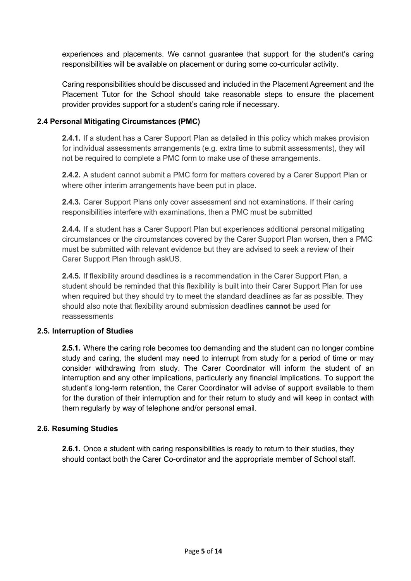experiences and placements. We cannot guarantee that support for the student's caring responsibilities will be available on placement or during some co-curricular activity.

Caring responsibilities should be discussed and included in the Placement Agreement and the Placement Tutor for the School should take reasonable steps to ensure the placement provider provides support for a student's caring role if necessary.

# **2.4 Personal Mitigating Circumstances (PMC)**

**2.4.1.** If a student has a Carer Support Plan as detailed in this policy which makes provision for individual assessments arrangements (e.g. extra time to submit assessments), they will not be required to complete a PMC form to make use of these arrangements.

**2.4.2.** A student cannot submit a PMC form for matters covered by a Carer Support Plan or where other interim arrangements have been put in place.

**2.4.3.** Carer Support Plans only cover assessment and not examinations. If their caring responsibilities interfere with examinations, then a PMC must be submitted

**2.4.4.** If a student has a Carer Support Plan but experiences additional personal mitigating circumstances or the circumstances covered by the Carer Support Plan worsen, then a PMC must be submitted with relevant evidence but they are advised to seek a review of their Carer Support Plan through askUS.

**2.4.5.** If flexibility around deadlines is a recommendation in the Carer Support Plan, a student should be reminded that this flexibility is built into their Carer Support Plan for use when required but they should try to meet the standard deadlines as far as possible. They should also note that flexibility around submission deadlines **cannot** be used for reassessments

# **2.5. Interruption of Studies**

**2.5.1.** Where the caring role becomes too demanding and the student can no longer combine study and caring, the student may need to interrupt from study for a period of time or may consider withdrawing from study. The Carer Coordinator will inform the student of an interruption and any other implications, particularly any financial implications. To support the student's long-term retention, the Carer Coordinator will advise of support available to them for the duration of their interruption and for their return to study and will keep in contact with them regularly by way of telephone and/or personal email.

# **2.6. Resuming Studies**

**2.6.1.** Once a student with caring responsibilities is ready to return to their studies, they should contact both the Carer Co-ordinator and the appropriate member of School staff.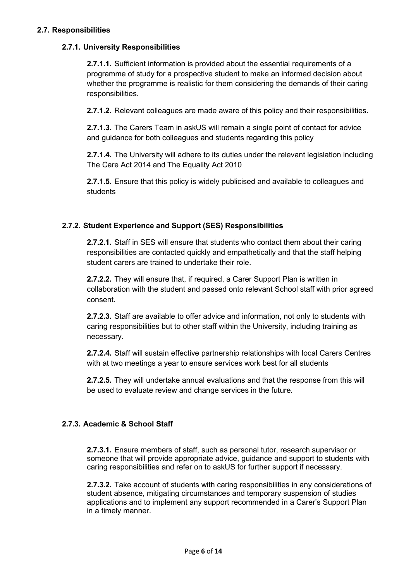# **2.7. Responsibilities**

# **2.7.1. University Responsibilities**

**2.7.1.1.** Sufficient information is provided about the essential requirements of a programme of study for a prospective student to make an informed decision about whether the programme is realistic for them considering the demands of their caring responsibilities.

**2.7.1.2.** Relevant colleagues are made aware of this policy and their responsibilities.

**2.7.1.3.** The Carers Team in askUS will remain a single point of contact for advice and guidance for both colleagues and students regarding this policy

**2.7.1.4.** The University will adhere to its duties under the relevant legislation including The Care Act 2014 and The Equality Act 2010

**2.7.1.5.** Ensure that this policy is widely publicised and available to colleagues and students

# **2.7.2. Student Experience and Support (SES) Responsibilities**

**2.7.2.1.** Staff in SES will ensure that students who contact them about their caring responsibilities are contacted quickly and empathetically and that the staff helping student carers are trained to undertake their role.

**2.7.2.2.** They will ensure that, if required, a Carer Support Plan is written in collaboration with the student and passed onto relevant School staff with prior agreed consent.

**2.7.2.3.** Staff are available to offer advice and information, not only to students with caring responsibilities but to other staff within the University, including training as necessary.

**2.7.2.4.** Staff will sustain effective partnership relationships with local Carers Centres with at two meetings a year to ensure services work best for all students

**2.7.2.5.** They will undertake annual evaluations and that the response from this will be used to evaluate review and change services in the future.

# **2.7.3. Academic & School Staff**

**2.7.3.1.** Ensure members of staff, such as personal tutor, research supervisor or someone that will provide appropriate advice, guidance and support to students with caring responsibilities and refer on to askUS for further support if necessary.

**2.7.3.2.** Take account of students with caring responsibilities in any considerations of student absence, mitigating circumstances and temporary suspension of studies applications and to implement any support recommended in a Carer's Support Plan in a timely manner.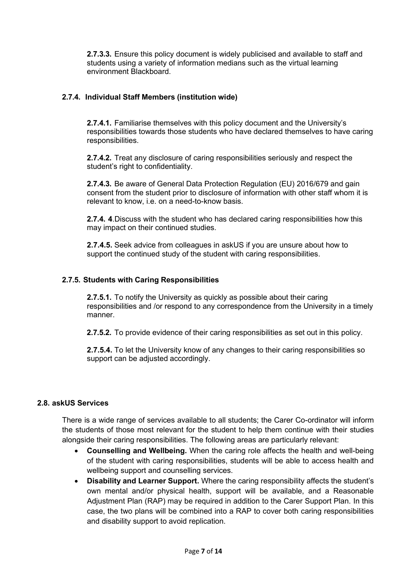**2.7.3.3.** Ensure this policy document is widely publicised and available to staff and students using a variety of information medians such as the virtual learning environment Blackboard.

# **2.7.4. Individual Staff Members (institution wide)**

**2.7.4.1.** Familiarise themselves with this policy document and the University's responsibilities towards those students who have declared themselves to have caring responsibilities.

**2.7.4.2.** Treat any disclosure of caring responsibilities seriously and respect the student's right to confidentiality.

**2.7.4.3.** Be aware of General Data Protection Regulation (EU) 2016/679 and gain consent from the student prior to disclosure of information with other staff whom it is relevant to know, i.e. on a need-to-know basis.

**2.7.4. 4**.Discuss with the student who has declared caring responsibilities how this may impact on their continued studies.

**2.7.4.5.** Seek advice from colleagues in askUS if you are unsure about how to support the continued study of the student with caring responsibilities.

# **2.7.5. Students with Caring Responsibilities**

**2.7.5.1.** To notify the University as quickly as possible about their caring responsibilities and /or respond to any correspondence from the University in a timely manner.

**2.7.5.2.** To provide evidence of their caring responsibilities as set out in this policy.

**2.7.5.4.** To let the University know of any changes to their caring responsibilities so support can be adjusted accordingly.

# **2.8. askUS Services**

There is a wide range of services available to all students; the Carer Co-ordinator will inform the students of those most relevant for the student to help them continue with their studies alongside their caring responsibilities. The following areas are particularly relevant:

- **Counselling and Wellbeing.** When the caring role affects the health and well-being of the student with caring responsibilities, students will be able to access health and wellbeing support and counselling services.
- **Disability and Learner Support.** Where the caring responsibility affects the student's own mental and/or physical health, support will be available, and a Reasonable Adjustment Plan (RAP) may be required in addition to the Carer Support Plan. In this case, the two plans will be combined into a RAP to cover both caring responsibilities and disability support to avoid replication.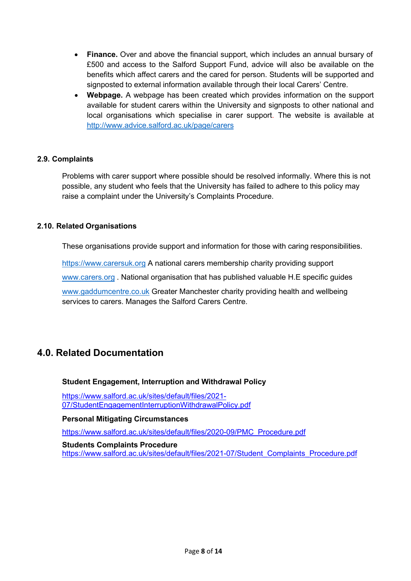- **Finance.** Over and above the financial support, which includes an annual bursary of £500 and access to the Salford Support Fund, advice will also be available on the benefits which affect carers and the cared for person. Students will be supported and signposted to external information available through their local Carers' Centre.
- **Webpage.** A webpage has been created which provides information on the support available for student carers within the University and signposts to other national and local organisations which specialise in carer support. The website is available at <http://www.advice.salford.ac.uk/page/carers>

# **2.9. Complaints**

Problems with carer support where possible should be resolved informally. Where this is not possible, any student who feels that the University has failed to adhere to this policy may raise a complaint under the University's Complaints Procedure.

# **2.10. Related Organisations**

These organisations provide support and information for those with caring responsibilities.

[https://www.carersuk.org](https://www.carersuk.org/) A national carers membership charity providing support

[www.carers.org](http://www.carers.org/) . National organisation that has published valuable H.E specific guides

[www.gaddumcentre.co.uk](http://www.gaddumcentre.co.uk/) Greater Manchester charity providing health and wellbeing services to carers. Manages the Salford Carers Centre.

# **4.0. Related Documentation**

# **Student Engagement, Interruption and Withdrawal Policy**

[https://www.salford.ac.uk/sites/default/files/2021-](https://www.salford.ac.uk/sites/default/files/2021-07/StudentEngagementInterruptionWithdrawalPolicy.pdf) [07/StudentEngagementInterruptionWithdrawalPolicy.pdf](https://www.salford.ac.uk/sites/default/files/2021-07/StudentEngagementInterruptionWithdrawalPolicy.pdf)

**Personal Mitigating Circumstances**

[https://www.salford.ac.uk/sites/default/files/2020-09/PMC\\_Procedure.pdf](https://www.salford.ac.uk/sites/default/files/2020-09/PMC_Procedure.pdf)

#### **Students Complaints Procedure**

[https://www.salford.ac.uk/sites/default/files/2021-07/Student\\_Complaints\\_Procedure.pdf](https://www.salford.ac.uk/sites/default/files/2021-07/Student_Complaints_Procedure.pdf)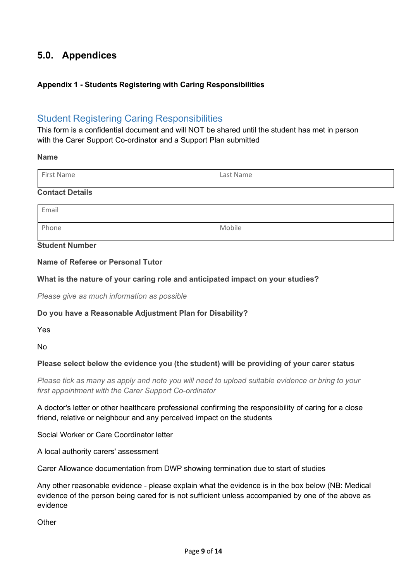# **5.0. Appendices**

# **Appendix 1 - Students Registering with Caring Responsibilities**

# Student Registering Caring Responsibilities

This form is a confidential document and will NOT be shared until the student has met in person with the Carer Support Co-ordinator and a Support Plan submitted

#### **Name**

# **Contact Details**

| Email |        |
|-------|--------|
| Phone | Mobile |

# **Student Number**

# **Name of Referee or Personal Tutor**

# **What is the nature of your caring role and anticipated impact on your studies?**

*Please give as much information as possible*

# **Do you have a Reasonable Adjustment Plan for Disability?**

Yes

No

# **Please select below the evidence you (the student) will be providing of your carer status**

*Please tick as many as apply and note you will need to upload suitable evidence or bring to your first appointment with the Carer Support Co-ordinator*

A doctor's letter or other healthcare professional confirming the responsibility of caring for a close friend, relative or neighbour and any perceived impact on the students

Social Worker or Care Coordinator letter

A local authority carers' assessment

Carer Allowance documentation from DWP showing termination due to start of studies

Any other reasonable evidence - please explain what the evidence is in the box below (NB: Medical evidence of the person being cared for is not sufficient unless accompanied by one of the above as evidence

**Other**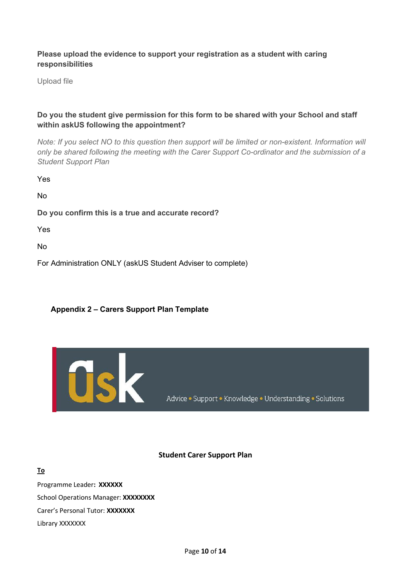# **Please upload the evidence to support your registration as a student with caring responsibilities**

Upload file

# **Do you the student give permission for this form to be shared with your School and staff within askUS following the appointment?**

*Note: If you select NO to this question then support will be limited or non-existent. Information will only be shared following the meeting with the Carer Support Co-ordinator and the submission of a Student Support Plan*

Yes

No

**Do you confirm this is a true and accurate record?**

Yes

No

For Administration ONLY (askUS Student Adviser to complete)

# **Appendix 2 – Carers Support Plan Template**



Advice · Support · Knowledge · Understanding · Solutions

#### **Student Carer Support Plan**

**To** Programme Leader**: XXXXXX** School Operations Manager: **XXXXXXXX** Carer's Personal Tutor: **XXXXXXX** Library XXXXXXX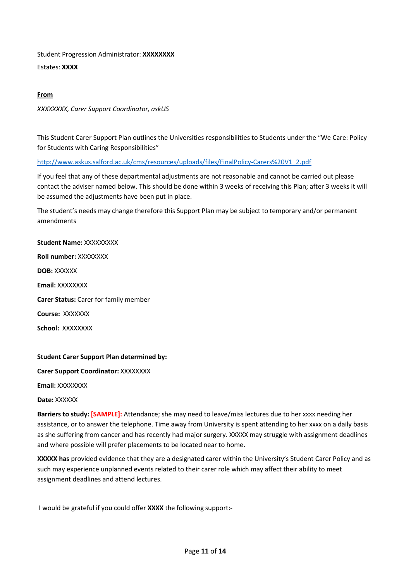Student Progression Administrator: **XXXXXXXX**

Estates: **XXXX**

# **From**

*XXXXXXXX, Carer Support Coordinator, askUS*

This Student Carer Support Plan outlines the Universities responsibilities to Students under the "We Care: Policy for Students with Caring Responsibilities"

[http://www.askus.salford.ac.uk/cms/resources/uploads/files/FinalPolicy-Carers%20V1\\_2.pdf](http://www.askus.salford.ac.uk/cms/resources/uploads/files/FinalPolicy-Carers%20V1_2.pdf)

If you feel that any of these departmental adjustments are not reasonable and cannot be carried out please contact the adviser named below. This should be done within 3 weeks of receiving this Plan; after 3 weeks it will be assumed the adjustments have been put in place.

The student's needs may change therefore this Support Plan may be subject to temporary and/or permanent amendments

**Student Name:** XXXXXXXXX **Roll number:** XXXXXXXX **DOB:** XXXXXX **Email:** XXXXXXXX **Carer Status:** Carer for family member **Course:** XXXXXXX **School:** XXXXXXXX

#### **Student Carer Support Plan determined by:**

**Carer Support Coordinator:** XXXXXXXX

**Email:** XXXXXXXX

**Date:** XXXXXX

**Barriers to study: [SAMPLE]:** Attendance; she may need to leave/miss lectures due to her xxxx needing her assistance, or to answer the telephone. Time away from University is spent attending to her xxxx on a daily basis as she suffering from cancer and has recently had major surgery. XXXXX may struggle with assignment deadlines and where possible will prefer placements to be located near to home.

**XXXXX has** provided evidence that they are a designated carer within the University's Student Carer Policy and as such may experience unplanned events related to their carer role which may affect their ability to meet assignment deadlines and attend lectures.

I would be grateful if you could offer **XXXX** the following support:-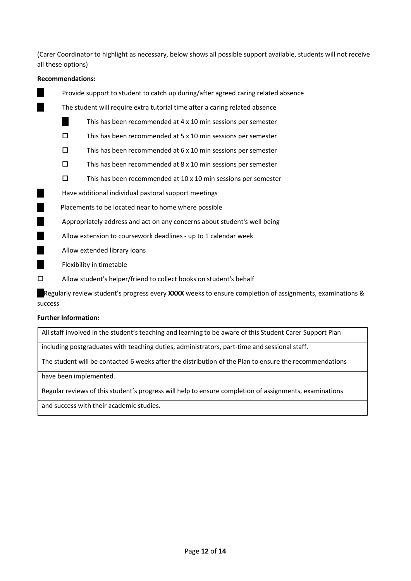(Carer Coordinator to highlight as necessary, below shows all possible support available, students will not receive all these options)

#### **Recommendations:**

Provide support to student to catch up during/after agreed caring related absence

The student will require extra tutorial time after a caring related absence

- This has been recommended at 4 x 10 min sessions per semester H.
- $\square$  This has been recommended at 5 x 10 min sessions per semester
- $\square$  This has been recommended at 6 x 10 min sessions per semester
- $\square$  This has been recommended at 8 x 10 min sessions per semester
- $\square$  This has been recommended at 10 x 10 min sessions per semester
- ٠ Have additional individual pastoral support meetings

Placements to be located near to home where possible

Appropriately address and act on any concerns about student's well being

- Allow extension to coursework deadlines up to 1 calendar week
- Allow extended library loans
- Flexibility in timetable
- Allow student's helper/friend to collect books on student's behalf

Regularly review student's progress every **XXXX** weeks to ensure completion of assignments, examinations & success

#### **Further Information:**

All staff involved in the student's teaching and learning to be aware of this Student Carer Support Plan

including postgraduates with teaching duties, administrators, part-time and sessional staff.

The student will be contacted 6 weeks after the distribution of the Plan to ensure the recommendations

have been implemented.

Regular reviews of this student's progress will help to ensure completion of assignments, examinations

and success with their academic studies.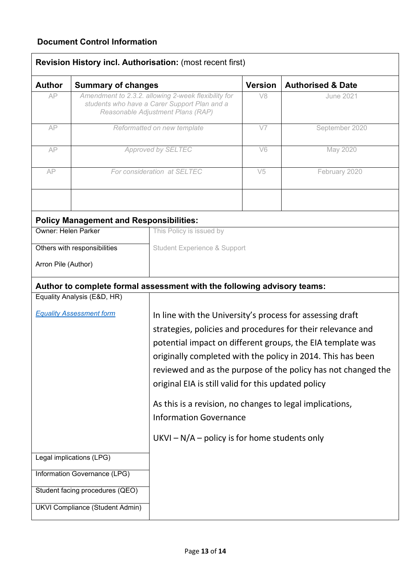# **Document Control Information**

| <b>Author</b>                   | <b>Summary of changes</b>                                                                                                                |                                                                                                                                                                                                                                                                                                                                                                               | <b>Version</b> | <b>Authorised &amp; Date</b> |
|---------------------------------|------------------------------------------------------------------------------------------------------------------------------------------|-------------------------------------------------------------------------------------------------------------------------------------------------------------------------------------------------------------------------------------------------------------------------------------------------------------------------------------------------------------------------------|----------------|------------------------------|
| AP                              | Amendment to 2.3.2. allowing 2-week flexibility for<br>students who have a Carer Support Plan and a<br>Reasonable Adjustment Plans (RAP) |                                                                                                                                                                                                                                                                                                                                                                               | V <sub>8</sub> | <b>June 2021</b>             |
| AP                              | Reformatted on new template                                                                                                              |                                                                                                                                                                                                                                                                                                                                                                               | V7             | September 2020               |
| AP                              | Approved by SELTEC                                                                                                                       |                                                                                                                                                                                                                                                                                                                                                                               | V <sub>6</sub> | May 2020                     |
| AP                              |                                                                                                                                          | For consideration at SELTEC                                                                                                                                                                                                                                                                                                                                                   | V <sub>5</sub> | February 2020                |
|                                 | <b>Policy Management and Responsibilities:</b>                                                                                           |                                                                                                                                                                                                                                                                                                                                                                               |                |                              |
| <b>Owner: Helen Parker</b>      |                                                                                                                                          | This Policy is issued by                                                                                                                                                                                                                                                                                                                                                      |                |                              |
|                                 | Others with responsibilities                                                                                                             | <b>Student Experience &amp; Support</b>                                                                                                                                                                                                                                                                                                                                       |                |                              |
| Arron Pile (Author)             |                                                                                                                                          |                                                                                                                                                                                                                                                                                                                                                                               |                |                              |
|                                 |                                                                                                                                          | Author to complete formal assessment with the following advisory teams:                                                                                                                                                                                                                                                                                                       |                |                              |
|                                 | Equality Analysis (E&D, HR)                                                                                                              |                                                                                                                                                                                                                                                                                                                                                                               |                |                              |
| <b>Equality Assessment form</b> |                                                                                                                                          | In line with the University's process for assessing draft<br>strategies, policies and procedures for their relevance and<br>potential impact on different groups, the EIA template was<br>originally completed with the policy in 2014. This has been<br>reviewed and as the purpose of the policy has not changed the<br>original EIA is still valid for this updated policy |                |                              |
|                                 |                                                                                                                                          | As this is a revision, no changes to legal implications,<br><b>Information Governance</b>                                                                                                                                                                                                                                                                                     |                |                              |
|                                 |                                                                                                                                          | $UKVI - N/A - policy$ is for home students only                                                                                                                                                                                                                                                                                                                               |                |                              |
|                                 | Legal implications (LPG)                                                                                                                 |                                                                                                                                                                                                                                                                                                                                                                               |                |                              |
|                                 | Information Governance (LPG)                                                                                                             |                                                                                                                                                                                                                                                                                                                                                                               |                |                              |
|                                 | Student facing procedures (QEO)                                                                                                          |                                                                                                                                                                                                                                                                                                                                                                               |                |                              |
|                                 | <b>UKVI Compliance (Student Admin)</b>                                                                                                   |                                                                                                                                                                                                                                                                                                                                                                               |                |                              |